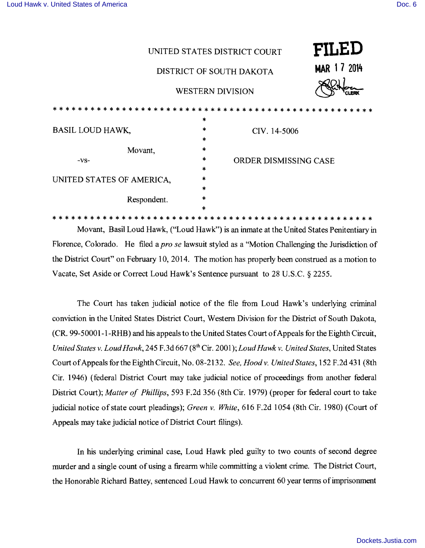| UNITED STATES DISTRICT COURT                                                                                   |        |                       | FILED |
|----------------------------------------------------------------------------------------------------------------|--------|-----------------------|-------|
| DISTRICT OF SOUTH DAKOTA                                                                                       |        | MAR 17 2014           |       |
| <b>WESTERN DIVISION</b>                                                                                        |        | CLERK                 |       |
|                                                                                                                |        |                       |       |
|                                                                                                                | $\ast$ |                       |       |
| <b>BASIL LOUD HAWK,</b>                                                                                        | $\ast$ | CIV. 14-5006          |       |
|                                                                                                                | $\ast$ |                       |       |
| Movant,                                                                                                        | $\ast$ |                       |       |
| $-VS-$                                                                                                         | $\ast$ | ORDER DISMISSING CASE |       |
|                                                                                                                | $\ast$ |                       |       |
| UNITED STATES OF AMERICA,                                                                                      | *      |                       |       |
|                                                                                                                | $\ast$ |                       |       |
| Respondent.                                                                                                    | $\ast$ |                       |       |
|                                                                                                                | *      |                       |       |
|                                                                                                                |        |                       |       |
| . .<br><b><i>PM 20</i></b><br>$\sim$ $\sim$ $\sim$<br>$\cdots$<br>$\sim$ $\sim$ $\sim$<br>$\sim$ $\sim$ $\sim$ |        |                       |       |

Movant, Basil Loud Hawk, ("Loud Hawk") is an inmate at the United States Penitentiary in Florence, Colorado. He filed a *pro se* lawsuit styled as a "Motion Challenging the Jurisdiction of the District Court" on February 10, 2014. The motion has properly been construed as a motion to Vacate, Set Aside or Correct Loud Hawk's Sentence pursuant to 28 U.S.C. § 2255.

The Court has taken judicial notice of the file from Loud Hawk's underlying criminal conviction in the United States District Court, Western Division for the District of South Dakota, (CR. 99-50001-1-RHB) and his appeals to the United States Court of Appeals for the Eighth Circuit, *United States* v. *Loud Hawk,* 245 F.3d 667 (8th Cir. 2001); *LoudHawk* v. *United States,* United States Court ofAppeals for the Eighth Circuit, No. 082132. *See, Hood* v. *United States,* 152 F.2d 431 (8th Cir. 1946) (federal District Court may take judicial notice of proceedings from another federal District Court); *Matter of Phillips,* 593 F.2d 356 (8th Cir. 1979) (proper for federal court to take judicial notice ofstate court pleadings); *Green* v. *White,* 616 F.2d 1054 (8th Cir. 1980) (Court of Appeals may take judicial notice of District Court filings).

**In** his underlying criminal case, Loud Hawk pled guilty to two counts of second degree murder and a single count of using a firearm while committing a violent crime. The District Court, the Honorable Richard Battey, sentenced Loud Hawk to concurrent 60 year terms of imprisonment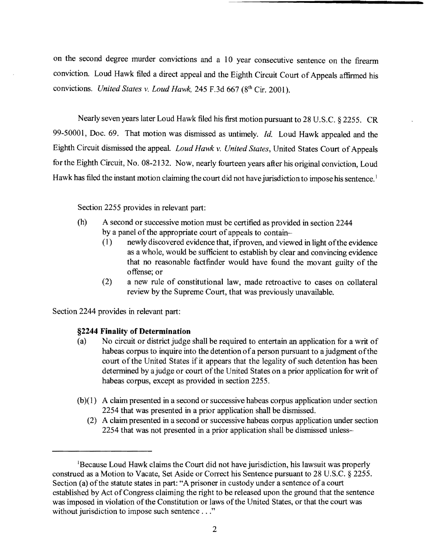on the second degree murder convictions and a 10 year consecutive sentence on the firearm conviction. Loud Hawk filed a direct appeal and the Eighth Circuit Court of Appeals affirmed his convictions. *United States v. Loud Hawk*, 245 F.3d 667 (8<sup>th</sup> Cir. 2001).

Nearly seven years later Loud Hawk filed his first motion pursuant to 28 U.S.c. § 2255. CR 99-50001, Doc. 69. That motion was dismissed as untimely. *Id.* Loud Hawk appealed and the Eighth Circuit dismissed the appeal. *Loud Hawk v. United States*, United States Court of Appeals for the Eighth Circuit, No. 08-2132. Now, nearly fourteen years after his original conviction, Loud Hawk has filed the instant motion claiming the court did not have jurisdiction to impose his sentence.<sup>1</sup>

Section 2255 provides in relevant part:

- (h) A second or successive motion must be certified as provided in section 2244 by a panel of the appropriate court of appeals to contain-
	- (1) newly discovered evidence that, ifproven, and viewed in light ofthe evidence as a whole, would be sufficient to establish by clear and convincing evidence that no reasonable factfinder would have found the movant guilty of the offense; or
	- (2) a new rule of constitutional law, made retroactive to cases on collateral review by the Supreme Court, that was previously unavailable.

Section 2244 provides in relevant part:

## **§2244 Finality of Determination**

- (a) No circuit or district judge shall be required to entertain an application for a writ of habeas corpus to inquire into the detention of a person pursuant to a judgment of the court of the United States if it appears that the legality of such detention has been determined by a judge or court of the United States on a prior application for writ of habeas corpus, except as provided in section 2255.
- $(b)(1)$  A claim presented in a second or successive habeas corpus application under section 2254 that was presented in a prior application shall be dismissed.
	- (2) A claim presented in a second or successive habeas corpus application under section 2254 that was not presented in a prior application shall be dismissed unless-

<sup>&</sup>lt;sup>1</sup>Because Loud Hawk claims the Court did not have jurisdiction, his lawsuit was properly construed as a Motion to Vacate, Set Aside or Correct his Sentence pursuant to 28 U.S.C. § 2255. Section (a) of the statute states in part: "A prisoner in custody under a sentence of a court established by Act of Congress claiming the right to be released upon the ground that the sentence was imposed in violation of the Constitution or laws of the United States, or that the court was without jurisdiction to impose such sentence ..."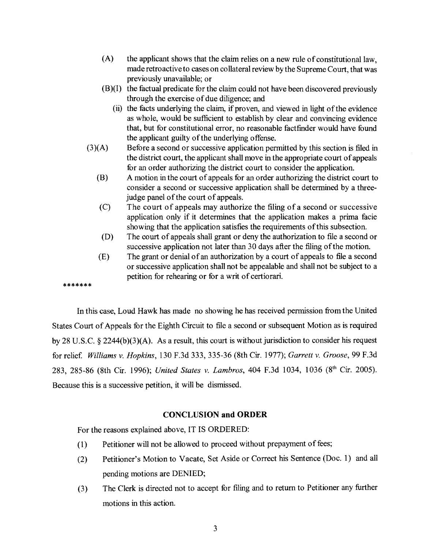- (A) the applicant shows that the claim relies on a new rule of constitutional law, made retroactive to cases on collateral review by the Supreme Court, that was previously unavailable; or
- (B)(I) the factual predicate for the claim could not have been discovered previously through the exercise of due diligence; and
	- (ii) the facts underlying the claim, if proven, and viewed in light of the evidence as whole, would be sufficient to establish by clear and convincing evidence that, but for constitutional error, no reasonable factfinder would have found the applicant guilty of the underlying offense.
- (3)(A) Before a second or successive application permitted by this section is filed in the district court, the applicant shall move in the appropriate court of appeals for an order authorizing the district court to consider the application.
	- (B) A motion in the court of appeals for an order authorizing the district court to consider a second or successive application shall be determined by a threejudge panel of the court of appeals.
	- (C) The court of appeals may authorize the filing of a second or successive application only if it determines that the application makes a prima facie showing that the application satisfies the requirements of this subsection.
	- (D) The court of appeals shall grant or deny the authorization to file a second or successive application not later than 30 days after the filing of the motion.
	- (E) The grant or denial of an authorization by a court of appeals to file a second or successive application shall not be appealable and shall not be subject to a petition for rehearing or for a writ of certiorari.

In this case, Loud Hawk has made no showing he has received permission from the United States Court of Appeals for the Eighth Circuit to file a second or subsequent Motion as is required by 28 U.S.C. § 2244(b)(3)(A). As a result, this court is without jurisdiction to consider his request for relief. *Williams v. Hopkins,* 130 F.3d 333, 33536 (8th Cir. 1977); *Garrett v. Groose,* 99 F.3d 283, 285-86 (8th Cir. 1996); *United States v. Lambros*, <sup>404</sup> F.3d 1034, 1036 (8<sup>th</sup> Cir. 2005). Because this is a successive petition, it will be dismissed.

## **CONCLUSION and ORDER**

For the reasons explained above, IT IS ORDERED:

\*\*\*\*\*\*\*

- (1) Petitioner will not be allowed to proceed without prepayment of fees;
- (2) Petitioner's Motion to Vacate, Set Aside or Correct his Sentence (Doc. 1) and all pending motions are DENIED;
- (3) The Clerk is directed not to accept for filing and to return to Petitioner any further motions in this action.